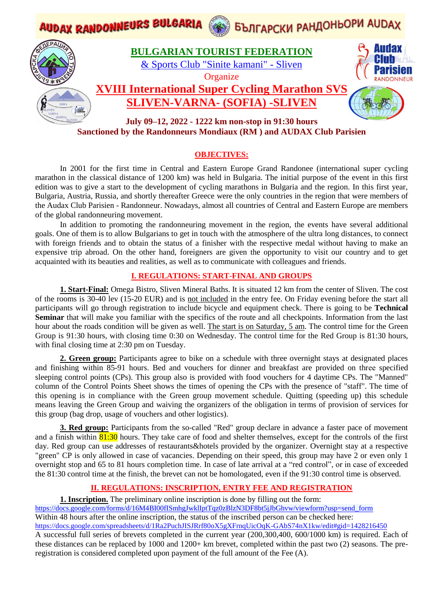

# **OBJECTIVES:**

In 2001 for the first time in Central and Eastern Europe Grand Randonee (international super cycling marathon in the classical distance of 1200 km) was held in Bulgaria. The initial purpose of the event in this first edition was to give a start to the development of cycling marathons in Bulgaria and the region. In this first year, Bulgaria, Austria, Russia, and shortly thereafter Greece were the only countries in the region that were members of the Audax Club Parisien - Randonneur. Nowadays, almost all countries of Central and Eastern Europe are members of the global randonneuring movement.

In addition to promoting the randonneuring movement in the region, the events have several additional goals. One of them is to allow Bulgarians to get in touch with the atmosphere of the ultra long distances, to connect with foreign friends and to obtain the status of a finisher with the respective medal without having to make an expensive trip abroad. On the other hand, foreigners are given the opportunity to visit our country and to get acquainted with its beauties and realities, as well as to communicate with colleagues and friends.

# **I. REGULATIONS: START-FINAL AND GROUPS**

**1. Start-Final:** Omega Bistro, Sliven Mineral Baths. It is situated 12 km from the center of Sliven. The cost of the rooms is 30-40 lev (15-20 EUR) and is not included in the entry fee. On Friday evening before the start all participants will go through registration to include bicycle and equipment check. There is going to be **Technical Seminar** that will make you familiar with the specifics of the route and all checkpoints. Information from the last hour about the roads condition will be given as well. The start is on Saturday, 5 am. The control time for the Green Group is 91:30 hours, with closing time 0:30 on Wednesday. The control time for the Red Group is 81:30 hours, with final closing time at 2:30 pm on Tuesday.

**2. Green group:** Participants agree to bike on a schedule with three overnight stays at designated places and finishing within 85-91 hours. Bed and vouchers for dinner and breakfast are provided on thrее specified sleeping control points (CPs). This group also is provided with food vouchers for 4 daytime CPs. The "Manned" column of the Control Points Sheet shows the times of opening the CPs with the presence of "staff". The time of this opening is in compliance with the Green group movement schedule. Quitting (speeding up) this schedule means leaving the Green Group and waiving the organizers of the obligation in terms of provision of services for this group (bag drop, usage of vouchers and other logistics).

**3. Red group:** Participants from the so-called "Red" group declare in advance a faster pace of movement and a finish within  $81:30$  hours. They take care of food and shelter themselves, except for the controls of the first day. Red group can use addresses of restaurants&hotels provided by the organizer. Overnight stay at a respective "green" CP is only allowed in case of vacancies. Depending on their speed, this group may have 2 or even only 1 overnight stop and 65 to 81 hours completion time. In case of late arrival at a "red control", or in case of exceeded the 81:30 control time at the finish, the brevet can not be homologated, even if the 91:30 control time is observed.

# **II. REGULATIONS: INSCRIPTION, ENTRY FEE AND REGISTRATION**

**1. Inscription.** The preliminary online inscription is done by filling out the form: [https://docs.google.com/forms/d/16M4BI00fISmhgJwklIptTqz0zBlzN3DF8bt5jJbGhvw/viewform?usp=send\\_form](https://docs.google.com/forms/d/16M4BI00fISmhgJwklIptTqz0zBlzN3DF8bt5jJbGhvw/viewform?usp=send_form) Within 48 hours after the online inscription, the status of the inscribed person can be checked here: <https://docs.google.com/spreadsheets/d/1Ra2PuchJISJRrf80oX5gXFrnqUicOqK-GAbS74nX1kw/edit#gid=1428216450> A successful full series of brevets completed in the current year (200,300,400, 600/1000 km) is required. Each of these distances can be replaced by 1000 and 1200+ km brevet, completed within the past two (2) seasons. The preregistration is considered completed upon payment of the full amount of the Fee (A).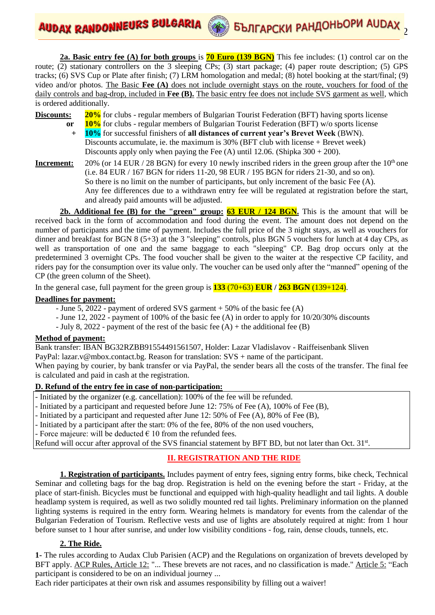**AUDAX RANDONNEURS BULGARIA** 

**2a. Basic entry fee (A) for both groups** is **70 Euro (139 BGN)** This fee includes: (1) control car on the route; (2) stationary controllers on the 3 sleeping CPs; (3) start package; (4) paper route description; (5) GPS tracks; (6) SVS Cup or Plate after finish; (7) LRM homologation and medal; (8) hotel booking at the start/final; (9) video and/or photos. The Basic **Fee (A)** does not include overnight stays on the route, vouchers for food of the daily controls and bag-drop, included in **Fee (B).** The basic entry fee does not include SVS garment as well, which is ordered additionally.

- **Discounts: 20%** for clubs regular members of Bulgarian Tourist Federation (BFT) having sports license **or 10%** for clubs - regular members of Bulgarian Tourist Federation (BFT) w/o sports license
	- **+ 10%** for successful finishers of **all distances of current year's Brevet Week** (BWN). Discounts accumulate, ie. the maximum is 30% (BFT club with license + Brevet week) Discounts apply only when paying the Fee  $(A)$  until 12.06. (Shipka 300 + 200).
- **Increment:** 20% (or 14 EUR / 28 BGN) for every 10 newly inscribed riders in the green group after the 10<sup>th</sup> one (i.e. 84 EUR / 167 BGN for riders 11-20, 98 EUR / 195 BGN for riders 21-30, and so on). So there is no limit on the number of participants, but only increment of the basic Fee (A). Any fee differences due to a withdrawn entry fee will be regulated at registration before the start, and already paid amounts will be adjusted.

**2b. Additional fee (B) for the "green" group: 63 EUR / 124 BGN.** This is the amount that will be received back in the form of accommodation and food during the event. The amount does not depend on the number of participants and the time of payment. Includes the full price of the 3 night stays, as well as vouchers for dinner and breakfast for BGN 8 (5+3) at the 3 "sleeping" controls, plus BGN 5 vouchers for lunch at 4 day CPs, as well as transportation of one and the same baggage to each "sleeping" CP. Bag drop occurs only at the predetermined 3 overnight CPs. The food voucher shall be given to the waiter at the respective CP facility, and riders pay for the consumption over its value only. The voucher can be used only after the "manned" opening of the CP (the green column of the Sheet).

In the general case, full payment for the green group is  $133$  ( $70+63$ ) **EUR**  $/$  **263 BGN** ( $139+124$ ).

### **Deadlines for payment:**

- June 5, 2022 payment of ordered SVS garment + 50% of the basic fee (A)
- June 12, 2022 payment of 100% of the basic fee (A) in order to apply for 10/20/30% discounts
- July 8, 2022 payment of the rest of the basic fee  $(A)$  + the additional fee  $(B)$

#### **Method of payment:**

Bank transfer: IBAN BG32RZBB91554491561507, Holder: Lazar Vladislavov - Raiffeisenbank Sliven

PayPal: lazar.v@mbox.contact.bg. Reason for translation: SVS + name of the participant.

When paying by courier, by bank transfer or via PayPal, the sender bears all the costs of the transfer. The final fee is calculated and paid in cash at the registration.

# **D. Refund of the entry fee in case of non-participation:**

- Initiated by the organizer (e.g. cancellation): 100% of the fee will be refunded.
- Initiated by a participant and requested before June 12: 75% of Fee (A), 100% of Fee (B),
- Initiated by a participant and requested after June 12: 50% of Fee (A), 80% of Fee (B),
- Initiated by a participant after the start: 0% of the fee, 80% of the non used vouchers,
- Force majeure: will be deducted  $\epsilon$  10 from the refunded fees.

Refund will occur after approval of the SVS financial statement by BFT BD, but not later than Oct. 31<sup>st</sup>.

# **II. REGISTRATION AND THE RIDE**

**1. Registration of participants.** Includes payment of entry fees, signing entry forms, bike check, Technical Seminar and colleting bags for the bag drop. Registration is held on the evening before the start - Friday, at the place of start-finish. Bicycles must be functional and equipped with high-quality headlight and tail lights. A double headlamp system is required, as well as two solidly mounted red tail lights. Preliminary information on the planned lighting systems is required in the entry form. Wearing helmets is mandatory for events from the calendar of the Bulgarian Federation of Tourism. Reflective vests and use of lights are absolutely required at night: from 1 hour before sunset to 1 hour after sunrise, and under low visibility conditions - fog, rain, dense clouds, tunnels, etc.

# **2. The Ride.**

**1-** The rules according to Audax Club Parisien (ACP) and the Regulations on organization of brevets developed by BFT apply. ACP Rules, Article 12: "... These brevets are not races, and no classification is made." Article 5: "Each participant is considered to be on an individual journey ...

Each rider participates at their own risk and assumes responsibility by filling out a waiver!